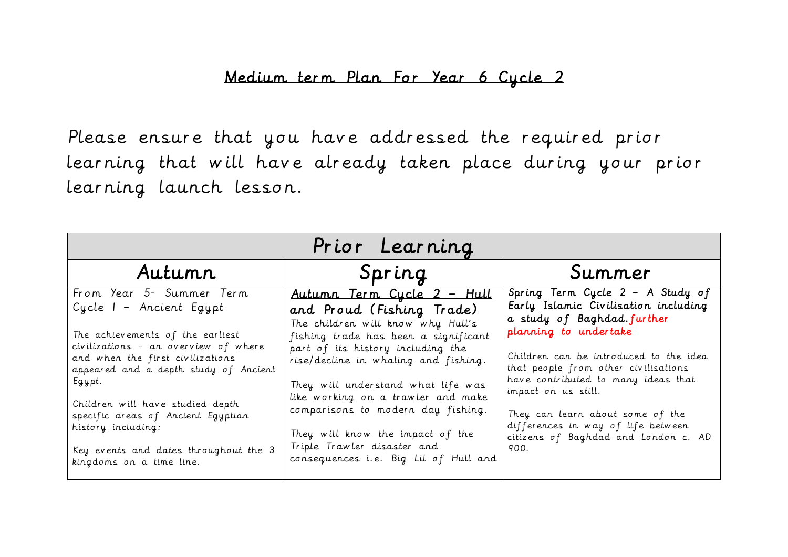## Medium term Plan For Year 6 Cycle 2

Please ensure that you have addressed the required prior learning that will have already taken place during your prior learning launch lesson.

| Prior Learning                                                                                                                                                                                                                                                                                                                                                                              |                                                                                                                                                                                                                                                                                                                                                                                                                                                        |                                                                                                                                                                                                                                                                                                                                                                                                           |  |  |  |
|---------------------------------------------------------------------------------------------------------------------------------------------------------------------------------------------------------------------------------------------------------------------------------------------------------------------------------------------------------------------------------------------|--------------------------------------------------------------------------------------------------------------------------------------------------------------------------------------------------------------------------------------------------------------------------------------------------------------------------------------------------------------------------------------------------------------------------------------------------------|-----------------------------------------------------------------------------------------------------------------------------------------------------------------------------------------------------------------------------------------------------------------------------------------------------------------------------------------------------------------------------------------------------------|--|--|--|
| Autumn                                                                                                                                                                                                                                                                                                                                                                                      | Spring                                                                                                                                                                                                                                                                                                                                                                                                                                                 | Summer                                                                                                                                                                                                                                                                                                                                                                                                    |  |  |  |
| From Year 5- Summer Term<br>Cycle I - Ancient Egypt<br>The achievements of the earliest<br>civilizations - an overview of where<br>and when the first civilizations<br>appeared and a depth study of Ancient<br>Egypt.<br>Children will have studied depth<br>specific areas of Ancient Egyptian<br>history including:<br>Key events and dates throughout the 3<br>kingdoms on a time line. | <u>Autumn Term Cycle 2 - Hull</u><br>and Proud (Fishing Trade)<br>The children will know why Hull's<br>fishing trade has been a significant<br>part of its history including the<br>rise/decline in whaling and fishing.<br>They will understand what life was<br>like working on a trawler and make<br>comparisons to modern day fishing.<br>They will know the impact of the<br>Triple Trawler disaster and<br>consequences i.e. Big Lil of Hull and | Spring Term Cycle 2 - A Study of<br>Early Islamic Civilisation including<br>a study of Baghdad.further<br>planning to undertake<br>Children can be introduced to the idea<br>that people from other civilisations<br>have contributed to many ideas that<br>impact on us still.<br>They can learn about some of the<br>differences in way of life between<br>citizens of Baghdad and London c. AD<br>900. |  |  |  |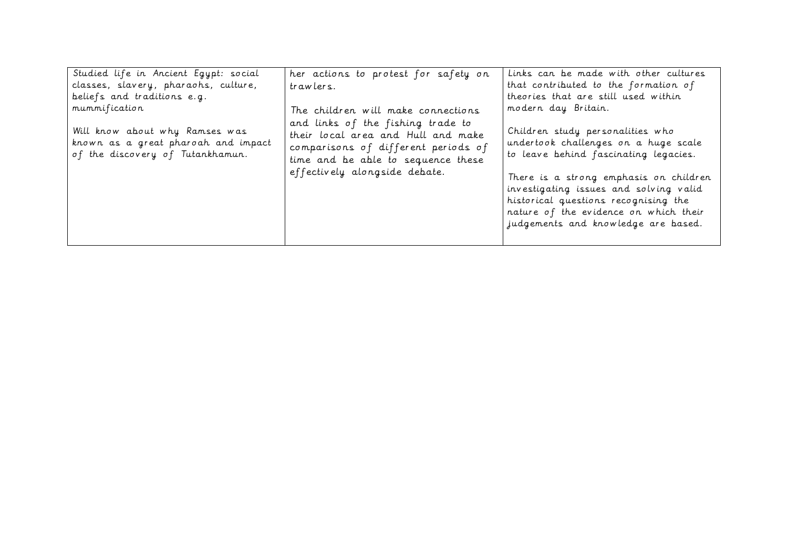| Studied life in Ancient Egypt: social                                                                     | her actions to protest for safety on                                                                                                                                                  | Links can be made with other cultures                                                                                                                                                                                                                                                                                         |
|-----------------------------------------------------------------------------------------------------------|---------------------------------------------------------------------------------------------------------------------------------------------------------------------------------------|-------------------------------------------------------------------------------------------------------------------------------------------------------------------------------------------------------------------------------------------------------------------------------------------------------------------------------|
| classes, slavery, pharaohs, culture,                                                                      | trawlers.                                                                                                                                                                             | that contributed to the formation of                                                                                                                                                                                                                                                                                          |
| beliefs and traditions e.g.                                                                               |                                                                                                                                                                                       | theories that are still used within                                                                                                                                                                                                                                                                                           |
| mummification                                                                                             | The children will make connections                                                                                                                                                    | modern day Britain.                                                                                                                                                                                                                                                                                                           |
| Will know about why Ramses was<br>known as a great pharoah and impact<br>of the discovery of Tutankhamun. | and links of the fishing trade to<br>their local area and Hull and make<br>comparisons of different periods of<br>time and be able to sequence these<br>effectively alongside debate. | Children study personalities who<br>undertook challenges on a huge scale<br>to leave behind fascinating legacies.<br>There is a strong emphasis on children<br>investigating issues and solving valid<br>historical questions recognising the<br>nature of the evidence on which their<br>judgements and knowledge are based. |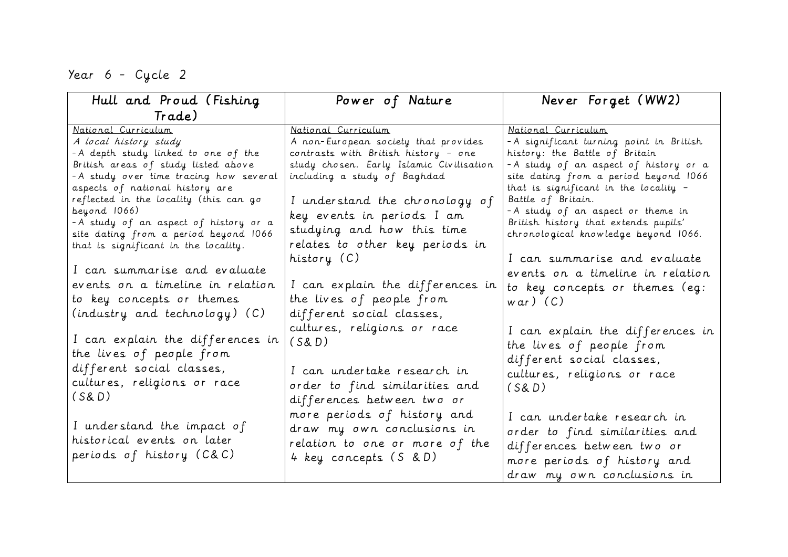Year 6 - Cycle 2

| Hull and Proud (Fishing                                                                                                                                                                                                                                                                                                                               | Power of Nature                                                                                                                                                                                                                                                               | Never Forget (WW2)                                                                                                                                                                                                                                                                                                                                                          |
|-------------------------------------------------------------------------------------------------------------------------------------------------------------------------------------------------------------------------------------------------------------------------------------------------------------------------------------------------------|-------------------------------------------------------------------------------------------------------------------------------------------------------------------------------------------------------------------------------------------------------------------------------|-----------------------------------------------------------------------------------------------------------------------------------------------------------------------------------------------------------------------------------------------------------------------------------------------------------------------------------------------------------------------------|
| Trade)                                                                                                                                                                                                                                                                                                                                                |                                                                                                                                                                                                                                                                               |                                                                                                                                                                                                                                                                                                                                                                             |
| National Curriculum<br>A local history study<br>- A depth study linked to one of the<br>British areas of study listed above<br>- A study over time tracing how several<br>aspects of national history are<br>reflected in the locality (this can go<br>beyond 1066)<br>-A study of an aspect of history or a<br>site dating from a period beyond 1066 | National Curriculum<br>A non-European society that provides<br>contrasts with British history - one<br>study chosen. Early Islamic Civilisation<br>including a study of Baghdad<br>I understand the chronology of<br>key events in periods I am<br>studying and how this time | National Curriculum<br>- A significant turning point in British<br>history: the Battle of Britain<br>- A study of an aspect of history or a<br>site dating from a period beyond 1066<br>that is significant in the locality $-$<br>Battle of Britain.<br>- A study of an aspect or theme in<br>British history that extends pupils'<br>chronological knowledge beyond 1066. |
| that is significant in the locality.<br>I can summarise and evaluate<br>events on a timeline in relation<br>to key concepts or themes                                                                                                                                                                                                                 | relates to other key periods in<br>history (C)<br>I can explain the differences in<br>the lives of people from                                                                                                                                                                | I can summarise and evaluate<br>events on a timeline in relation<br>to key concepts or themes (eg:<br>$war)$ (C)                                                                                                                                                                                                                                                            |
| (industry and technology) (C)<br>I can explain the differences in<br>the lives of people from<br>different social classes,<br>cultures, religions or race<br>(S&D)                                                                                                                                                                                    | different social classes,<br>cultures, religions or race<br>(S&D)<br>I can undertake research in<br>order to find similarities and<br>differences between two or                                                                                                              | I can explain the differences in<br>the lives of people from<br>different social classes,<br>cultures, religions or race<br>(S&D)                                                                                                                                                                                                                                           |
| I understand the impact of<br>historical events on later<br>periods of history (C&C)                                                                                                                                                                                                                                                                  | more periods of history and<br>draw my own conclusions in<br>relation to one or more of the<br>4 key concepts (S & D)                                                                                                                                                         | I can undertake research in<br>order to find similarities and<br>differences between two or<br>more periods of history and<br>draw my own conclusions in                                                                                                                                                                                                                    |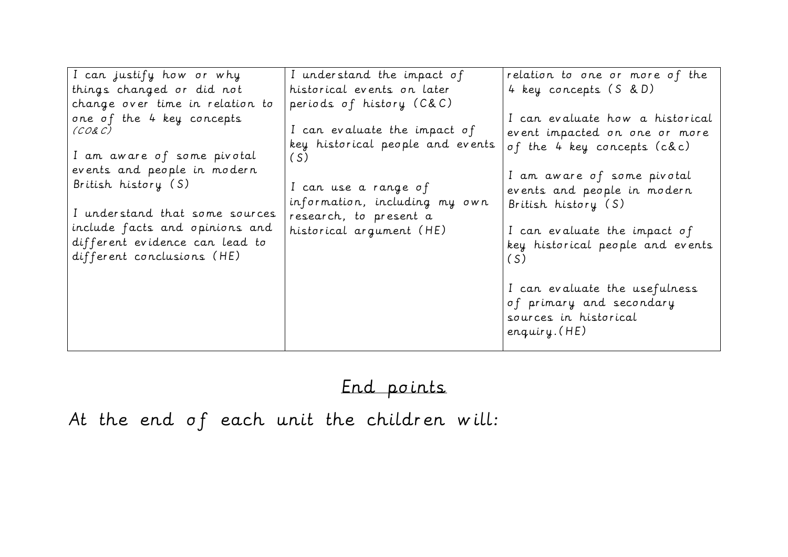| I can justify how or why                                                                                                                                                                                                                                     | I understand the impact of                                                                                                                                                             | relation to one or more of the                                                                                                                                                                                                                                                                                                                                        |
|--------------------------------------------------------------------------------------------------------------------------------------------------------------------------------------------------------------------------------------------------------------|----------------------------------------------------------------------------------------------------------------------------------------------------------------------------------------|-----------------------------------------------------------------------------------------------------------------------------------------------------------------------------------------------------------------------------------------------------------------------------------------------------------------------------------------------------------------------|
| things changed or did not                                                                                                                                                                                                                                    | historical events on later                                                                                                                                                             | 4 key concepts (S & D)                                                                                                                                                                                                                                                                                                                                                |
| change over time in relation to                                                                                                                                                                                                                              | periods of history (C&C)                                                                                                                                                               |                                                                                                                                                                                                                                                                                                                                                                       |
| one of the 4 key concepts<br>(CO& C)<br>I am aware of some pivotal<br>events and people in modern<br>British history (S)<br>I understand that some sources<br>include facts and opinions and<br>different evidence can lead to<br>different conclusions (HE) | I can evaluate the impact of<br>key historical people and events<br>(S)<br>I can use a range of<br>information, including my own<br>research, to present a<br>historical argument (HE) | I can evaluate how a historical<br>event impacted on one or more<br>of the 4 key concepts (c&c)<br>I am aware of some pivotal<br>events and people in modern<br>British history (S)<br>I can evaluate the impact of<br>key historical people and events<br>(S)<br>I can evaluate the usefulness<br>of primary and secondary<br>sources in historical<br>enquiry. (HE) |
|                                                                                                                                                                                                                                                              |                                                                                                                                                                                        |                                                                                                                                                                                                                                                                                                                                                                       |

# End points

At the end of each unit the children will: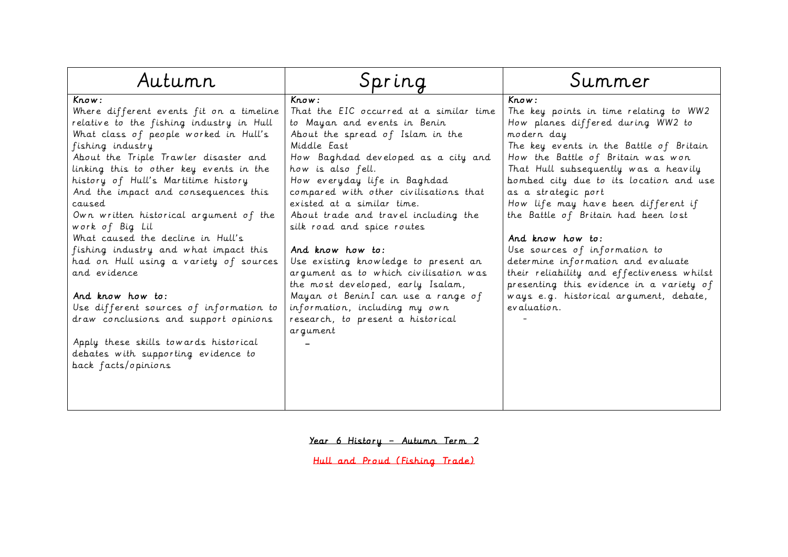| Know:<br>Know:<br>Know:<br>Where different events fit on a timeline<br>That the EIC occurred at a similar time<br>relative to the fishing industry in Hull<br>to Mayan and events in Benin<br>How planes differed during WW2 to<br>What class of people worked in Hull's<br>About the spread of Islam in the<br>modern day<br>Middle East<br>fishing industry<br>How the Battle of Britain was won<br>About the Triple Trawler disaster and<br>How Baghdad developed as a city and                                                                                                                                                                                                                                                                                                                                                                                                                                                                                                                                                                                                                                                | Autumn                                  | Spring            | Summer                                                                                                                                                                                                                                                                                                                                          |
|-----------------------------------------------------------------------------------------------------------------------------------------------------------------------------------------------------------------------------------------------------------------------------------------------------------------------------------------------------------------------------------------------------------------------------------------------------------------------------------------------------------------------------------------------------------------------------------------------------------------------------------------------------------------------------------------------------------------------------------------------------------------------------------------------------------------------------------------------------------------------------------------------------------------------------------------------------------------------------------------------------------------------------------------------------------------------------------------------------------------------------------|-----------------------------------------|-------------------|-------------------------------------------------------------------------------------------------------------------------------------------------------------------------------------------------------------------------------------------------------------------------------------------------------------------------------------------------|
| history of Hull's Martitime history<br>How everyday life in Baghdad<br>And the impact and consequences this<br>compared with other civilisations that<br>as a strategic port<br>existed at a similar time.<br>caused<br>the Battle of Britain had been lost<br>About trade and travel including the<br>Own written historical argument of the<br>work of Big Lil<br>silk road and spice routes<br>What caused the decline in Hull's<br>And know how to:<br>fishing industry and what impact this<br>And know how to:<br>Use sources of information to<br>had on Hull using a variety of sources<br>Use existing knowledge to present an<br>determine information and evaluate<br>and evidence<br>argument as to which civilisation was<br>the most developed, early Isalam,<br>And know how to:<br>Mayan ot BeninI can use a range of<br>information, including my own<br>evaluation.<br>Use different sources of information to<br>draw conclusions and support opinions<br>research, to present a historical<br>argument<br>Apply these skills towards historical<br>debates with supporting evidence to<br>back facts/opinions | linking this to other key events in the | how is also fell. | The key points in time relating to WW2<br>The key events in the Battle of Britain<br>That Hull subsequently was a heavily<br>bombed city due to its location and use<br>How life may have been different if<br>their reliability and effectiveness whilst<br>presenting this evidence in a variety of<br>ways e.g. historical argument, debate, |

Year 6 History – Autumn Term 2

Hull and Proud (Fishing Trade)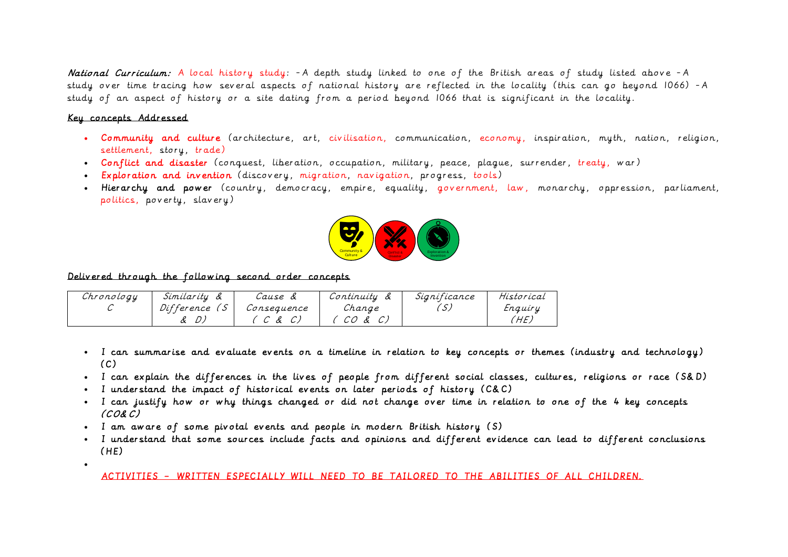National Curriculum: A local history study: - A depth study linked to one of the British areas of study listed above - A study over time tracing how several aspects of national history are reflected in the locality (this can go beyond 1066) -A study of an aspect of history or a site dating from a period beyond 1066 that is significant in the locality.

### Key concepts Addressed

 $\bullet$  . The set of  $\bullet$ 

- Community and culture (architecture, art, civilisation, communication, economy, inspiration, myth, nation, religion, settlement, story, trade)
- Conflict and disaster (conquest, liberation, occupation, military, peace, plague, surrender, treaty, war)
- Exploration and invention (discovery, migration, navigation, progress, tools)
- Hierarchy and power (country, democracy, empire, equality, government, law, monarchy, oppression, parliament, politics, poverty, slavery)



Delivered through the following second order concepts

| Chronology | Similarity<br>α | Cause &     | Continuity | Sianificance | Historical |
|------------|-----------------|-------------|------------|--------------|------------|
|            | Difference      | Consequence | Change     |              | Enquiry    |
|            |                 | Ŀ           | CO & C)    |              | 'HE.       |

- I can summarise and evaluate events on a timeline in relation to key concepts or themes (industry and technology)  $(C)$
- I can explain the differences in the lives of people from different social classes, cultures, religions or race (S&D)
- I understand the impact of historical events on later periods of history (C&C)
- I can justify how or why things changed or did not change over time in relation to one of the 4 key concepts (CO&C)
- I am aware of some pivotal events and people in modern British history (S)
- I understand that some sources include facts and opinions and different evidence can lead to different conclusions (HE)

ACTIVITIES – WRITTEN ESPECIALLY WILL NEED TO BE TAILORED TO THE ABILITIES OF ALL CHILDREN.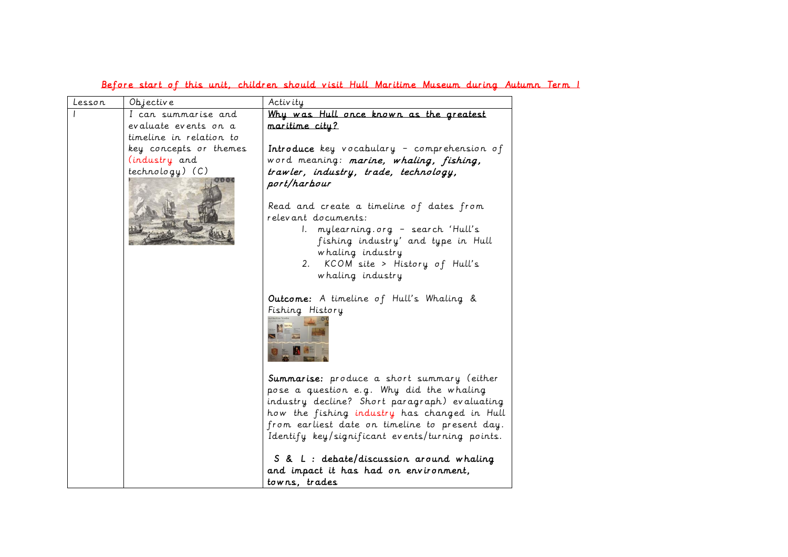| Lesson | Objective               | Activity                                                                                                                                                                                                                                                                                     |
|--------|-------------------------|----------------------------------------------------------------------------------------------------------------------------------------------------------------------------------------------------------------------------------------------------------------------------------------------|
|        | I can summarise and     | Why was Hull once known as the greatest                                                                                                                                                                                                                                                      |
|        | evaluate events on a    | maritime city?                                                                                                                                                                                                                                                                               |
|        | timeline in relation to |                                                                                                                                                                                                                                                                                              |
|        | key concepts or themes  | Introduce key vocabulary - comprehension of                                                                                                                                                                                                                                                  |
|        | (industry and           | word meaning: marine, whaling, fishing,                                                                                                                                                                                                                                                      |
|        | $technology)$ (C)       | trawler, industry, trade, technology,<br>port/harbour                                                                                                                                                                                                                                        |
|        |                         |                                                                                                                                                                                                                                                                                              |
|        |                         | Read and create a timeline of dates from                                                                                                                                                                                                                                                     |
|        |                         | relevant documents:                                                                                                                                                                                                                                                                          |
|        |                         | I. mylearning.org - search 'Hull's<br>fishing industry' and type in Hull                                                                                                                                                                                                                     |
|        |                         | whaling industry                                                                                                                                                                                                                                                                             |
|        |                         | 2. KCOM site > History of Hull's                                                                                                                                                                                                                                                             |
|        |                         | whaling industry                                                                                                                                                                                                                                                                             |
|        |                         | Outcome: A timeline of Hull's Whaling &<br>Fishing History                                                                                                                                                                                                                                   |
|        |                         | Summarise: produce a short summary (either<br>pose a question e.g. Why did the whaling<br>industry decline? Short paragraph) evaluating<br>how the fishing industry has changed in Hull<br>from earliest date on timeline to present day.<br>Identify key/significant events/turning points. |
|        |                         | S & L : debate/discussion around whaling<br>and impact it has had on environment,                                                                                                                                                                                                            |
|        |                         | towns, trades                                                                                                                                                                                                                                                                                |

### Before start of this unit, children should visit Hull Maritime Museum during Autumn Term 1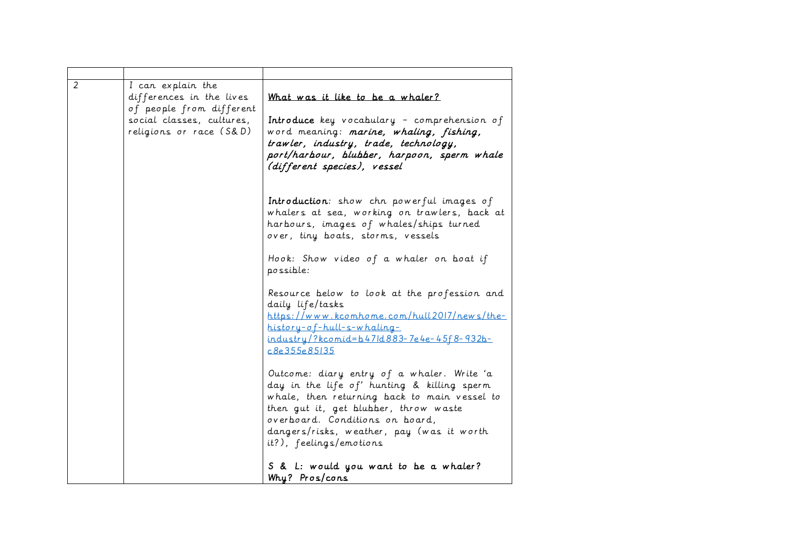| 2 | I can explain the<br>differences in the lives<br>of people from different<br>social classes, cultures,<br>religions or race (S&D) | What was it like to be a whaler?<br>Introduce key vocabulary - comprehension of<br>word meaning: marine, whaling, fishing,<br>trawler, industry, trade, technology,<br>port/harbour, blubber, harpoon, sperm whale<br>(different species), vessel                                             |
|---|-----------------------------------------------------------------------------------------------------------------------------------|-----------------------------------------------------------------------------------------------------------------------------------------------------------------------------------------------------------------------------------------------------------------------------------------------|
|   |                                                                                                                                   | Introduction: show chn powerful images of<br>whalers at sea, working on trawlers, back at<br>harbours, images of whales/ships turned<br>over, tiny boats, storms, vessels                                                                                                                     |
|   |                                                                                                                                   | Hook: Show video of a whaler on boat if<br>possible:                                                                                                                                                                                                                                          |
|   |                                                                                                                                   | Resource below to look at the profession and<br>daily life/tasks<br>https://www.kcomhome.com/hull2017/news/the-<br>history-of-hull-s-whaling-<br>industry/?kcomid=b47ld883-7e4e-45f8-932b-<br>c8e355e85135                                                                                    |
|   |                                                                                                                                   | Outcome: diary entry of a whaler. Write 'a<br>day in the life of' hunting & killing sperm<br>whale, then returning back to main vessel to<br>then gut it, get blubber, throw waste<br>overboard. Conditions on board,<br>dangers/risks, weather, pay (was it worth<br>it?), feelings/emotions |
|   |                                                                                                                                   | S & L: would you want to be a whaler?<br>Why? Pros/cons                                                                                                                                                                                                                                       |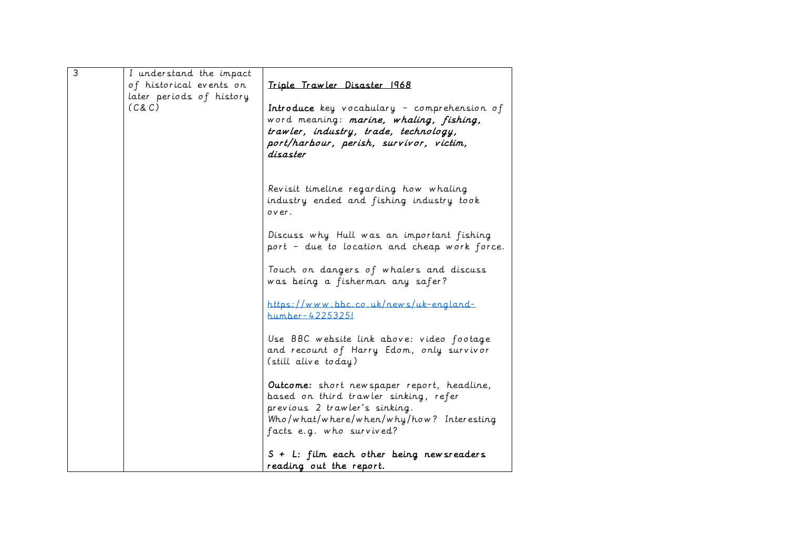| $\overline{3}$ | I understand the impact  |                                                                                                                                 |
|----------------|--------------------------|---------------------------------------------------------------------------------------------------------------------------------|
|                | of historical events on  | Triple Trawler Disaster 1968                                                                                                    |
|                | later periods of history |                                                                                                                                 |
|                | (C&C)                    | Introduce key vocabulary - comprehension of<br>word meaning: marine, whaling, fishing,<br>trawler, industry, trade, technology, |
|                |                          | port/harbour, perish, survivor, victim,<br>disaster                                                                             |
|                |                          |                                                                                                                                 |
|                |                          | Revisit timeline regarding how whaling<br>industry ended and fishing industry took<br>over.                                     |
|                |                          | Discuss why Hull was an important fishing<br>port - due to location and cheap work force.                                       |
|                |                          | Touch on dangers of whalers and discuss<br>was being a fisherman any safer?                                                     |
|                |                          | https://www.bbc.co.uk/news/uk-england-<br>humber-42253251                                                                       |
|                |                          | Use BBC website link above: video footage<br>and recount of Harry Edom, only survivor<br>(still alive today)                    |
|                |                          |                                                                                                                                 |
|                |                          | Outcome: short new spaper report, headline,<br>based on third trawler sinking, refer                                            |
|                |                          | previous 2 trawler's sinking.                                                                                                   |
|                |                          | Who/what/where/when/why/how? Interesting                                                                                        |
|                |                          | facts e.g. who survived?                                                                                                        |
|                |                          | S + L: film each other being new sreaders                                                                                       |
|                |                          | reading out the report.                                                                                                         |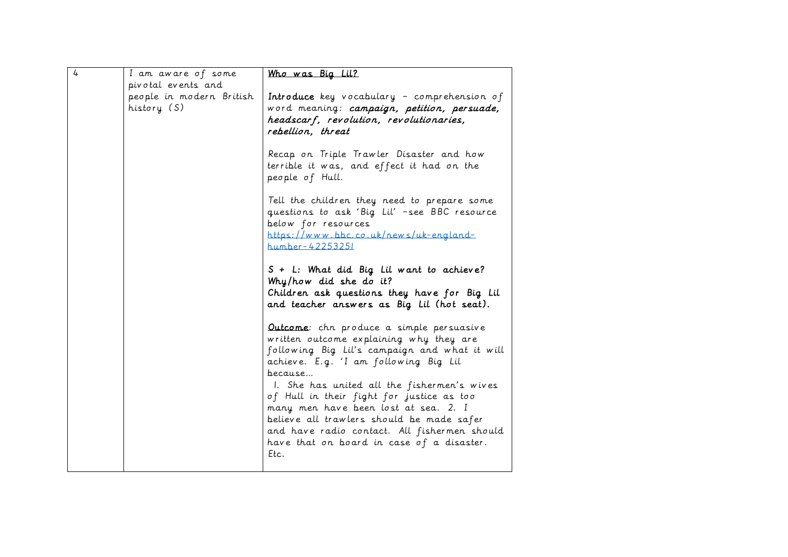| $\frac{1}{2}$ | I am aware of some                      | Who was Big Lil?                                                                                                                                                                                                                                                                                                                                                                                                                                                               |
|---------------|-----------------------------------------|--------------------------------------------------------------------------------------------------------------------------------------------------------------------------------------------------------------------------------------------------------------------------------------------------------------------------------------------------------------------------------------------------------------------------------------------------------------------------------|
|               | pivotal events and                      |                                                                                                                                                                                                                                                                                                                                                                                                                                                                                |
|               | people in modern British<br>history (S) | <b>Introduce</b> key vocabulary - comprehension of<br>word meaning: campaign, petition, persuade,<br>headscarf, revolution, revolutionaries,<br>rebellion, threat                                                                                                                                                                                                                                                                                                              |
|               |                                         | Recap on Triple Trawler Disaster and how<br>terrible it was, and effect it had on the<br>people of Hull.                                                                                                                                                                                                                                                                                                                                                                       |
|               |                                         | Tell the children they need to prepare some<br>questions to ask 'Big Lil' -see BBC resource<br>below for resources<br>https://www.bbc.co.uk/news/uk-england-<br>humber-42253251                                                                                                                                                                                                                                                                                                |
|               |                                         | S + L: What did Big Lil want to achieve?<br>Why/how did she do it?<br>Children ask questions they have for Big Lil<br>and teacher answers as Big Lil (hot seat).                                                                                                                                                                                                                                                                                                               |
|               |                                         | Outcome: chn produce a simple persuasive<br>written outcome explaining why they are<br>following Big Lil's campaign and what it will<br>achieve. E.g. 'I am following Big Lil<br>because<br>I. She has united all the fishermen's wives<br>of Hull in their fight for justice as too<br>many men have been lost at sea. 2. I<br>believe all trawlers should be made safer<br>and have radio contact. All fishermen should<br>have that on board in case of a disaster.<br>Etc. |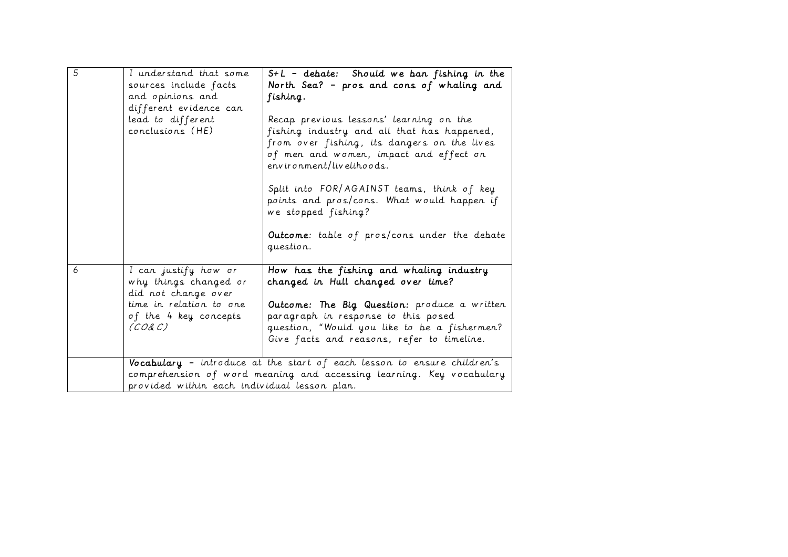| $\overline{5}$ | I understand that some<br>sources include facts<br>and opinions and<br>different evidence can<br>lead to different<br>conclusions (HE) | $S+L$ - debate: Should we ban fishing in the<br>North Sea? - pros and cons of whaling and<br>fishing.<br>Recap previous lessons' learning on the<br>fishing industry and all that has happened,<br>from over fishing, its dangers on the lives<br>of men and women, impact and effect on<br>$env$ ir on ment/livelihoods.<br>Split into FOR/AGAINST teams, think of key<br>points and pros/cons. What would happen if<br>we stopped fishing? |
|----------------|----------------------------------------------------------------------------------------------------------------------------------------|----------------------------------------------------------------------------------------------------------------------------------------------------------------------------------------------------------------------------------------------------------------------------------------------------------------------------------------------------------------------------------------------------------------------------------------------|
|                |                                                                                                                                        | Outcome: table of pros/cons under the debate<br>question.                                                                                                                                                                                                                                                                                                                                                                                    |
| 6              | I can justify how or<br>why things changed or<br>did not change over<br>time in relation to one<br>of the 4 key concepts<br>(CO& C)    | How has the fishing and whaling industry<br>changed in Hull changed over time?<br>Outcome: The Big Question: produce a written<br>paragraph in response to this posed<br>question, "Would you like to be a fishermen?<br>Give facts and reasons, refer to timeline.                                                                                                                                                                          |
|                | provided within each individual lesson plan.                                                                                           | Vocabulary - introduce at the start of each lesson to ensure children's<br>comprehension of word meaning and accessing learning. Key vocabulary                                                                                                                                                                                                                                                                                              |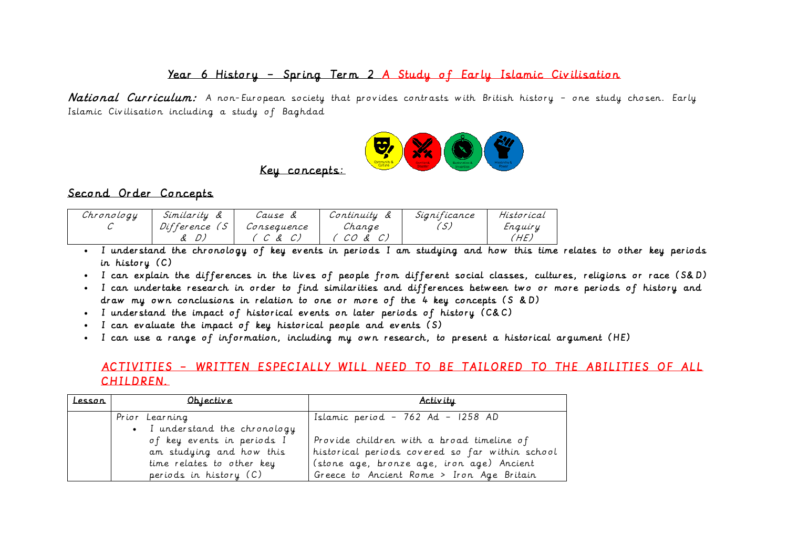### Year 6 History – Spring Term 2 A Study of Early Islamic Civilisation

National Curriculum: A non-European society that provides contrasts with British history - one study chosen. Early Islamic Civilisation including a study of Baghdad



# Key concepts:

### Second Order Concepts

| Chronology | Similarity | Cause       | Continuity      | Significance | Historical |
|------------|------------|-------------|-----------------|--------------|------------|
|            | Difference | Consequence | Change          |              | Enquiry    |
|            |            | Ŀ           | CO.<br>$\alpha$ |              | HE.        |

- I understand the chronology of key events in periods I am studying and how this time relates to other key periods in history (C)
- I can explain the differences in the lives of people from different social classes, cultures, religions or race (S&D)
- I can undertake research in order to find similarities and differences between two or more periods of history and draw my own conclusions in relation to one or more of the 4 key concepts (S &D)
- I understand the impact of historical events on later periods of history (C&C)
- I can evaluate the impact of key historical people and events (S)
- I can use a range of information, including my own research, to present a historical argument (HE)

### ACTIVITIES – WRITTEN ESPECIALLY WILL NEED TO BE TAILORED TO THE ABILITIES OF ALL CHILDREN.

| <u>Lesson</u> | Objective                     | Activity                                        |
|---------------|-------------------------------|-------------------------------------------------|
|               | Prior Learning                | Islamic period - 762 Ad - 1258 AD               |
|               | • I understand the chronology |                                                 |
|               | of key events in periods I    | Provide children with a broad timeline of       |
|               | am studying and how this      | historical periods covered so far within school |
|               | time relates to other key     | (stone age, bronze age, iron age) Ancient       |
|               | periods in history (C)        | Greece to Ancient Rome > Iron Age Britain       |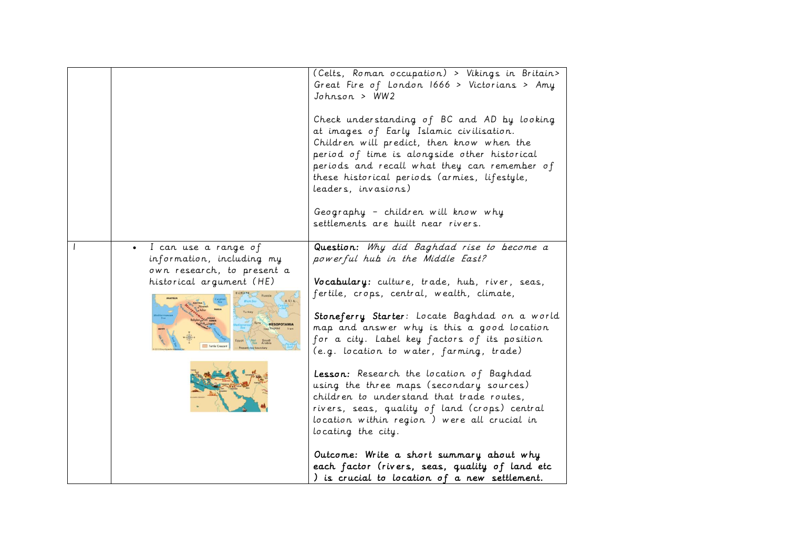|                                                                                                             | (Celts, Roman occupation) > Vikings in Britain><br>Great Fire of London 1666 > Victorians > Amy<br>Johnson > WW2<br>Check understanding of BC and AD by looking<br>at images of Early Islamic civilisation.<br>Children will predict, then know when the<br>period of time is alongside other historical<br>periods and recall what they can remember of<br>these historical periods (armies, lifestyle,<br>leaders, invasions)<br>Geography - children will know why<br>settlements are built near rivers.                                                                                                                                                                                                                                                                        |
|-------------------------------------------------------------------------------------------------------------|------------------------------------------------------------------------------------------------------------------------------------------------------------------------------------------------------------------------------------------------------------------------------------------------------------------------------------------------------------------------------------------------------------------------------------------------------------------------------------------------------------------------------------------------------------------------------------------------------------------------------------------------------------------------------------------------------------------------------------------------------------------------------------|
| I can use a range of<br>information, including my<br>own research, to present a<br>historical argument (HE) | Question: Why did Baghdad rise to become a<br>powerful hub in the Middle East?<br>Vocabulary: culture, trade, hub, river, seas,<br>fertile, crops, central, wealth, climate,<br>Stoneferry Starter: Locate Baghdad on a world<br>map and answer why is this a good location<br>for a city. Label key factors of its position<br>(e.g. location to water, farming, trade)<br>Lesson: Research the location of Baghdad<br>using the three maps (secondary sources)<br>children to understand that trade routes,<br>rivers, seas, quality of land (crops) central<br>location within region) were all crucial in<br>locating the city.<br>Outcome: Write a short summary about why<br>each factor (rivers, seas, quality of land etc<br>) is crucial to location of a new settlement. |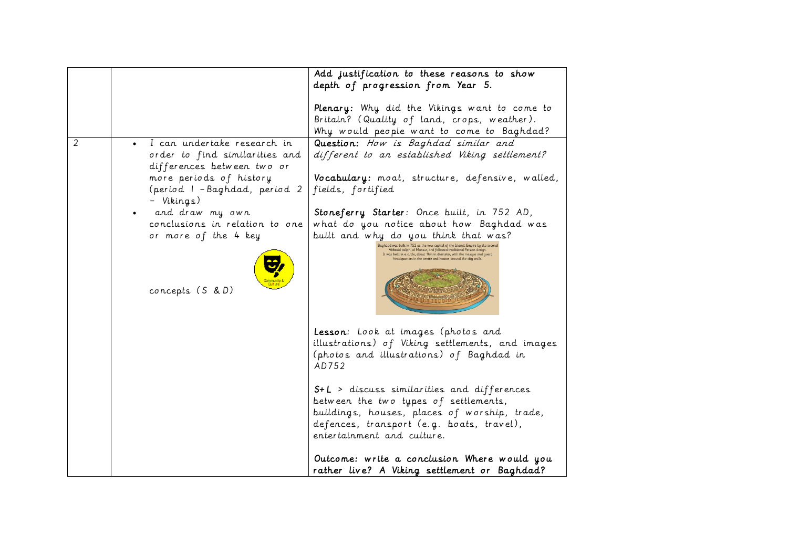|   |                                                                                                                                                                                                                                                                        | Add justification to these reasons to show<br>depth of progression from Year 5.                                                                                                                                                                                                                                                                                                                                                                                                                                                          |
|---|------------------------------------------------------------------------------------------------------------------------------------------------------------------------------------------------------------------------------------------------------------------------|------------------------------------------------------------------------------------------------------------------------------------------------------------------------------------------------------------------------------------------------------------------------------------------------------------------------------------------------------------------------------------------------------------------------------------------------------------------------------------------------------------------------------------------|
|   |                                                                                                                                                                                                                                                                        | Plenary: Why did the Vikings want to come to<br>Britain? (Quality of land, crops, weather).<br>Why would people want to come to Baghdad?                                                                                                                                                                                                                                                                                                                                                                                                 |
| 2 | I can undertake research in<br>order to find similarities and<br>differences between two or<br>more periods of history<br>(period I - Baghdad, period 2<br>- Vikings)<br>and draw my own<br>conclusions in relation to one<br>or more of the 4 key<br>concepts (S & D) | Question: How is Baghdad similar and<br>different to an established Viking settlement?<br>Vocabulary: moat, structure, defensive, walled,<br>fields, fortified<br>Stoneferry Starter: Once built, in 752 AD,<br>what do you notice about how Baghdad was<br>built and why do you think that was?<br>laghdad was built in 752 as the new capital of the Islamic Empire by the second<br>Abbasid caliph, al Mansur, and followed traditional Persian design.<br>It was built in a circle, about 1 km in diameter, with the mosque and guar |
|   |                                                                                                                                                                                                                                                                        | Lesson: Look at images (photos and<br>illustrations) of Viking settlements, and images<br>(photos and illustrations) of Baghdad in<br>AD752<br>S+L > discuss similarities and differences<br>between the two types of settlements,<br>buildings, houses, places of worship, trade,<br>defences, transport (e.g. boats, travel),<br>entertainment and culture.                                                                                                                                                                            |
|   |                                                                                                                                                                                                                                                                        | Outcome: write a conclusion Where would you<br>rather live? A Viking settlement or Baghdad?                                                                                                                                                                                                                                                                                                                                                                                                                                              |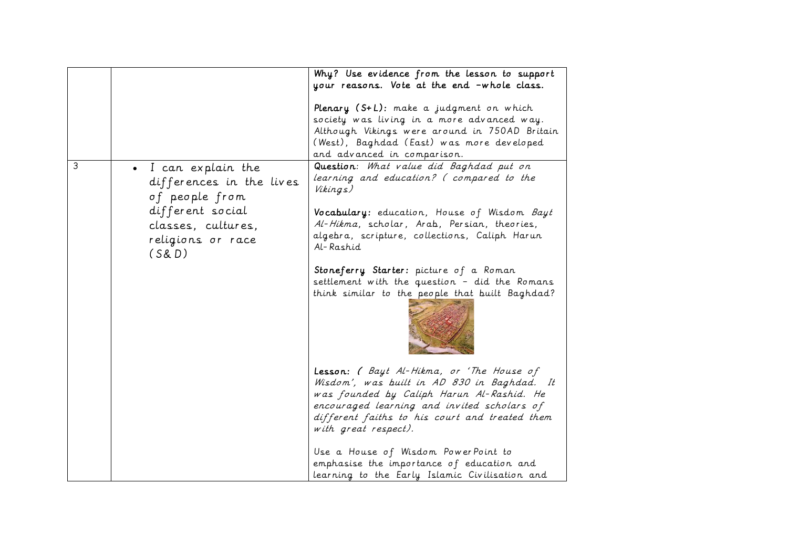|   |                                                                                                                                           | Why? Use evidence from the lesson to support<br>your reasons. Vote at the end -whole class.                                                                                                                                                                                                                                                            |
|---|-------------------------------------------------------------------------------------------------------------------------------------------|--------------------------------------------------------------------------------------------------------------------------------------------------------------------------------------------------------------------------------------------------------------------------------------------------------------------------------------------------------|
|   |                                                                                                                                           | Plenary (S+L): make a judgment on which<br>society was living in a more advanced way.<br>Although Vikings were around in 750AD Britain<br>(West), Baghdad (East) was more developed<br>and advanced in comparison.                                                                                                                                     |
| 3 | • I can explain the<br>differences in the lives<br>of people from<br>different social<br>classes, cultures,<br>religions or race<br>(S&D) | Question: What value did Baghdad put on<br>learning and education? (compared to the<br>Vikings)<br>Vocabulary: education, House of Wisdom Bayt<br>Al-Hikma, scholar, Arab, Persian, theories,<br>algebra, scripture, collections, Caliph Harun<br>Al-Rashid<br>Stoneferry Starter: picture of a Roman<br>settlement with the question - did the Romans |
|   |                                                                                                                                           | think similar to the people that built Baghdad?<br>Lesson: (Bayt Al-Hikma, or 'The House of<br>Wisdom', was built in AD 830 in Baghdad. It                                                                                                                                                                                                             |
|   |                                                                                                                                           | was founded by Caliph Harun Al-Rashid. He<br>encouraged learning and invited scholars of<br>different faiths to his court and treated them<br>with great respect).<br>Use a House of Wisdom PowerPoint to<br>emphasise the importance of education and<br>learning to the Early Islamic Civilisation and                                               |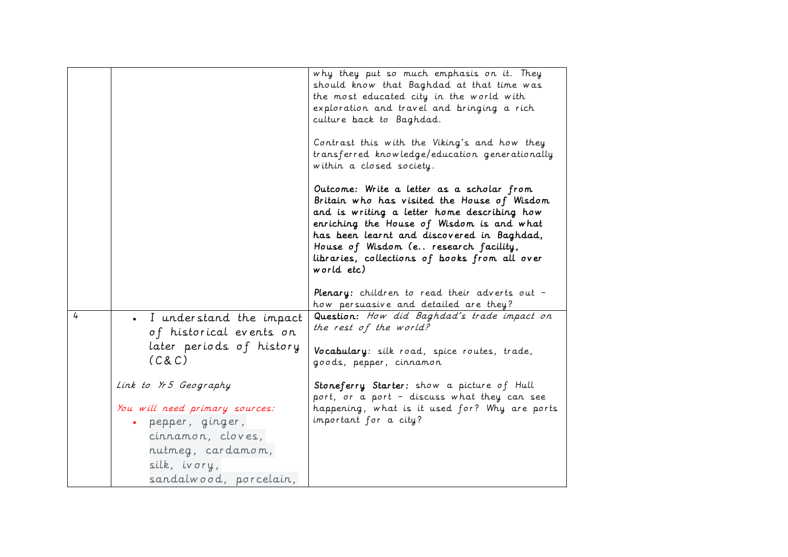| 4 | I understand the impact<br>of historical events on                                                                                                               | why they put so much emphasis on it. They<br>should know that Baghdad at that time was<br>the most educated city in the world with<br>exploration and travel and bringing a rich<br>culture back to Baghdad.<br>Contrast this with the Viking's and how they<br>transferred knowledge/education generationally<br>within a closed society.<br>Outcome: Write a letter as a scholar from<br>Britain who has visited the House of Wisdom<br>and is writing a letter home describing how<br>enriching the House of Wisdom is and what<br>has been learnt and discovered in Baghdad,<br>House of Wisdom (e research facility,<br>libraries, collections of books from all over<br>world etc)<br>Plenary: children to read their adverts out -<br>how persuasive and detailed are they?<br>Question: How did Baghdad's trade impact on<br>the rest of the world? |
|---|------------------------------------------------------------------------------------------------------------------------------------------------------------------|-------------------------------------------------------------------------------------------------------------------------------------------------------------------------------------------------------------------------------------------------------------------------------------------------------------------------------------------------------------------------------------------------------------------------------------------------------------------------------------------------------------------------------------------------------------------------------------------------------------------------------------------------------------------------------------------------------------------------------------------------------------------------------------------------------------------------------------------------------------|
|   | later periods of history<br>(C&C)                                                                                                                                | Vocabulary: silk road, spice routes, trade,<br>goods, pepper, cinnamon                                                                                                                                                                                                                                                                                                                                                                                                                                                                                                                                                                                                                                                                                                                                                                                      |
|   | Link to Yr5 Geography<br>You will need primary sources:<br>· pepper, ginger,<br>cinnamon, cloves,<br>nutmeg, cardamom,<br>silk, ivory,<br>sandalwood, porcelain, | Stoneferry Starter: show a picture of Hull<br>port, or a port - discuss what they can see<br>happening, what is it used for? Why are ports<br>important for a city?                                                                                                                                                                                                                                                                                                                                                                                                                                                                                                                                                                                                                                                                                         |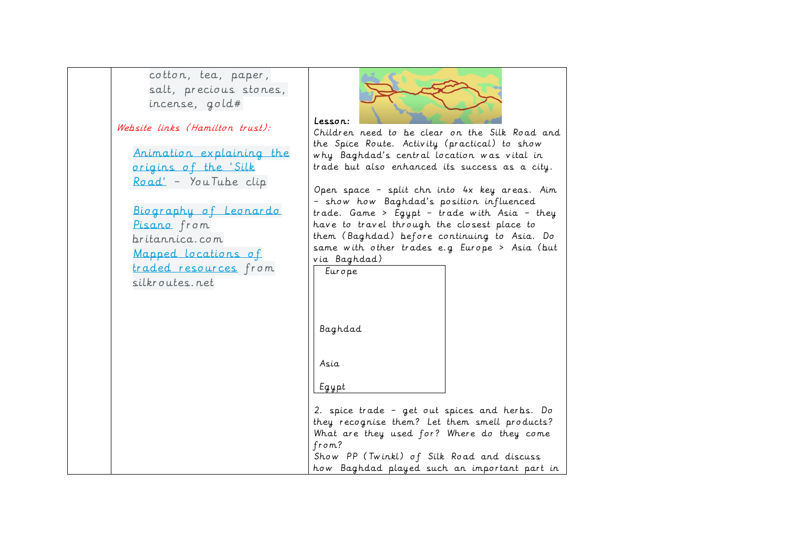cotton, tea, paper, salt, precious stones, incense, gold#

Website links (Hamilton trust):

[Animation explaining the](https://www.youtube.com/watch?v=vn3e37VWc0k)  [origins of the](https://www.youtube.com/watch?v=vn3e37VWc0k) 'Silk [Road](https://www.youtube.com/watch?v=vn3e37VWc0k)' – YouTube clip

[Biography of Leonardo](http://www.britannica.com/biography/Leonardo-Pisano)  [Pisano](http://www.britannica.com/biography/Leonardo-Pisano)</u> from britannica.com [Mapped locations of](http://www.silkroutes.net/SilkRoadMaps/PictureMapRoutes.jpg)  [traded resources](http://www.silkroutes.net/SilkRoadMaps/PictureMapRoutes.jpg) from silkroutes.net



Children need to be clear on the Silk Road and the Spice Route. Activity (practical) to show why Baghdad's central location was vital in trade but also enhanced its success as a city.

Open space – split chn into 4x key areas. Aim – show how Baghdad's position influenced trade. Game > Egypt – trade with Asia – they have to travel through the closest place to them (Baghdad) before continuing to Asia. Do same with other trades e.g Europe > Asia (but via Baghdad)

Europe

Baghdad

Asia

Egypt

2. spice trade – get out spices and herbs. Do they recognise them? Let them smell products? What are they used for? Where do they come from? Show PP (Twinkl) of Silk Road and discuss how Baghdad played such an important part in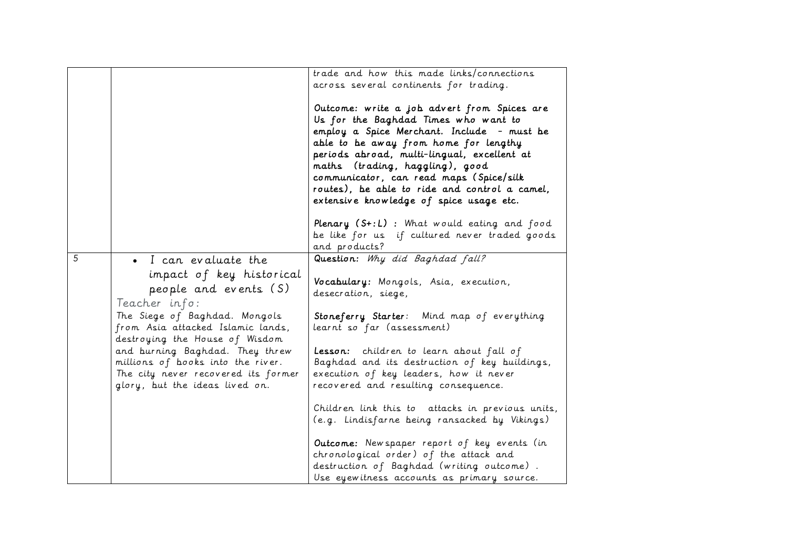|   |                                                                                                                                                                                 | trade and how this made links/connections<br>across several continents for trading.                                                                                                                                                                                                                                                                                                                 |
|---|---------------------------------------------------------------------------------------------------------------------------------------------------------------------------------|-----------------------------------------------------------------------------------------------------------------------------------------------------------------------------------------------------------------------------------------------------------------------------------------------------------------------------------------------------------------------------------------------------|
|   |                                                                                                                                                                                 | Outcome: write a job advert from Spices are<br>Us for the Baghdad Times who want to<br>employ a Spice Merchant. Include - must be<br>able to be away from home for lengthy<br>periods abroad, multi-lingual, excellent at<br>maths (trading, haggling), good<br>communicator, can read maps (Spice/silk<br>routes), be able to ride and control a camel,<br>extensive knowledge of spice usage etc. |
|   |                                                                                                                                                                                 | Plenary (S+:L): What would eating and food                                                                                                                                                                                                                                                                                                                                                          |
|   |                                                                                                                                                                                 | be like for us if cultured never traded goods<br>and products?                                                                                                                                                                                                                                                                                                                                      |
| 5 | • I can evaluate the                                                                                                                                                            | Question: Why did Baghdad fall?                                                                                                                                                                                                                                                                                                                                                                     |
|   | impact of key historical<br>people and events (S)<br>Teacher info:                                                                                                              | Vocabulary: Mongols, Asia, execution,<br>desecration, siege,                                                                                                                                                                                                                                                                                                                                        |
|   | The Siege of Baghdad. Mongols<br>from Asia attacked Islamic lands,                                                                                                              | Stoneferry Starter: Mind map of everything<br>learnt so far (assessment)                                                                                                                                                                                                                                                                                                                            |
|   | destroying the House of Wisdom<br>and burning Baghdad. They threw<br>millions of books into the river.<br>The city never recovered its former<br>glory, but the ideas lived on. | Lesson: children to learn about fall of<br>Baghdad and its destruction of key buildings,<br>execution of key leaders, how it never<br>recovered and resulting consequence.                                                                                                                                                                                                                          |
|   |                                                                                                                                                                                 | Children link this to attacks in previous units,<br>(e.g. Lindisfarne being ransacked by Vikings)                                                                                                                                                                                                                                                                                                   |
|   |                                                                                                                                                                                 | Outcome: New spaper report of key events (in<br>chronological order) of the attack and<br>destruction of Baghdad (writing outcome).<br>Use eyewitness accounts as primary source.                                                                                                                                                                                                                   |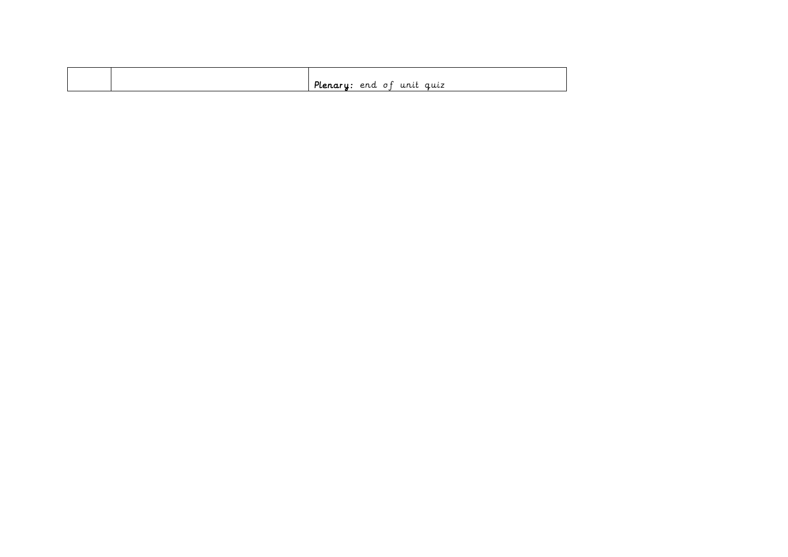|  | 71117<br>. .<br>مايا '<br>ື<br><u>ui uu</u> |
|--|---------------------------------------------|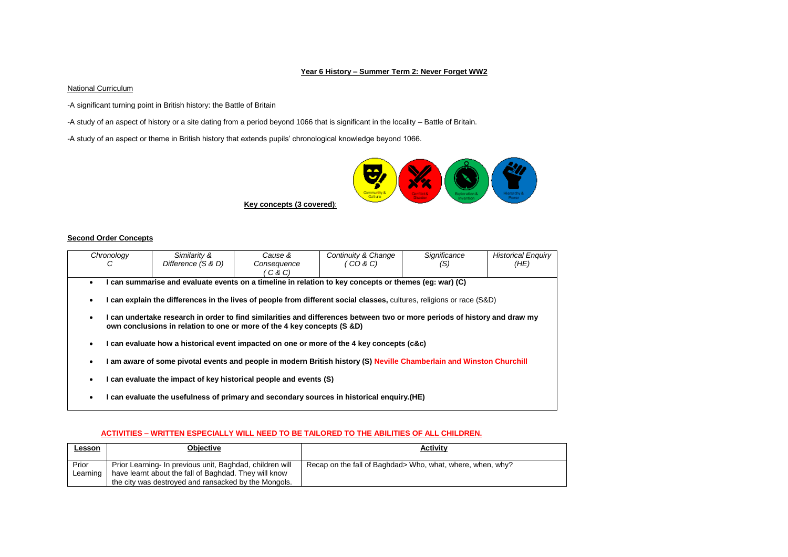#### **Year 6 History – Summer Term 2: Never Forget WW2**

### **National Curriculum**

-A significant turning point in British history: the Battle of Britain

-A study of an aspect of history or a site dating from a period beyond 1066 that is significant in the locality – Battle of Britain.

-A study of an aspect or theme in British history that extends pupils' chronological knowledge beyond 1066.



#### **Second Order Concepts**

| Chronology                                                                                                                                                                                                                                                                                                                                                                                                                                                                                                                                                                                                                                                                                      | Similarity &       | Cause &     | Continuity & Change | Significance | <b>Historical Enguiry</b> |
|-------------------------------------------------------------------------------------------------------------------------------------------------------------------------------------------------------------------------------------------------------------------------------------------------------------------------------------------------------------------------------------------------------------------------------------------------------------------------------------------------------------------------------------------------------------------------------------------------------------------------------------------------------------------------------------------------|--------------------|-------------|---------------------|--------------|---------------------------|
| С                                                                                                                                                                                                                                                                                                                                                                                                                                                                                                                                                                                                                                                                                               | Difference (S & D) | Consequence | ′ CO & C)           | (S)          | (HE)                      |
|                                                                                                                                                                                                                                                                                                                                                                                                                                                                                                                                                                                                                                                                                                 |                    | C & C)      |                     |              |                           |
|                                                                                                                                                                                                                                                                                                                                                                                                                                                                                                                                                                                                                                                                                                 |                    |             |                     |              |                           |
| I can summarise and evaluate events on a timeline in relation to key concepts or themes (eq: war) (C)<br>I can explain the differences in the lives of people from different social classes, cultures, religions or race (S&D)<br>$\bullet$<br>I can undertake research in order to find similarities and differences between two or more periods of history and draw my<br>$\bullet$<br>own conclusions in relation to one or more of the 4 key concepts (S &D)<br>I can evaluate how a historical event impacted on one or more of the 4 key concepts (c&c)<br>٠<br>I am aware of some pivotal events and people in modern British history (S) Neville Chamberlain and Winston Churchill<br>٠ |                    |             |                     |              |                           |
| I can evaluate the impact of key historical people and events (S)<br>٠                                                                                                                                                                                                                                                                                                                                                                                                                                                                                                                                                                                                                          |                    |             |                     |              |                           |

#### **ACTIVITIES – WRITTEN ESPECIALLY WILL NEED TO BE TAILORED TO THE ABILITIES OF ALL CHILDREN.**

**I can evaluate the usefulness of primary and secondary sources in historical enquiry.(HE)**

| <u>Lesson</u> | Objective                                                | <b>Activity</b>                                             |
|---------------|----------------------------------------------------------|-------------------------------------------------------------|
| Prior         | Prior Learning- In previous unit, Baghdad, children will | Recap on the fall of Baghdad > Who, what, where, when, why? |
| Learning      | have learnt about the fall of Baghdad. They will know    |                                                             |
|               | the city was destroyed and ransacked by the Mongols.     |                                                             |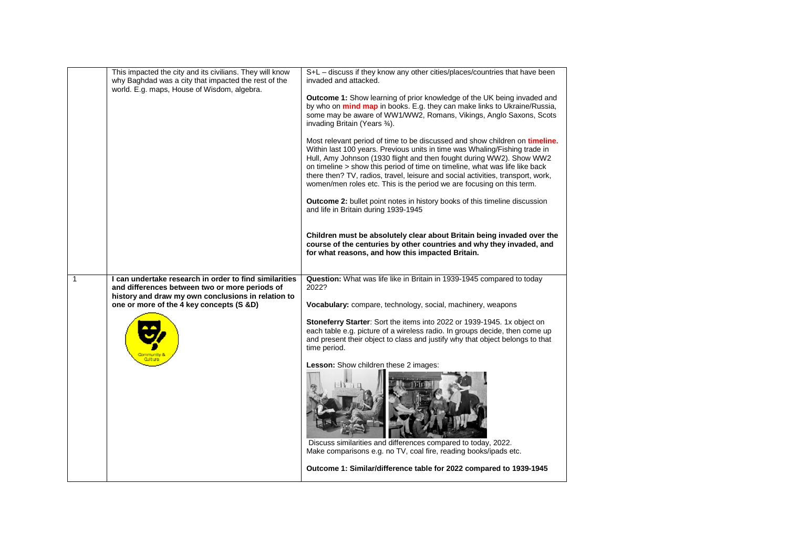|              | This impacted the city and its civilians. They will know<br>why Baghdad was a city that impacted the rest of the<br>world. E.g. maps, House of Wisdom, algebra.                                            | S+L - discuss if they know any other cities/places/countries that have been<br>invaded and attacked.<br><b>Outcome 1:</b> Show learning of prior knowledge of the UK being invaded and<br>by who on <b>mind map</b> in books. E.g. they can make links to Ukraine/Russia,<br>some may be aware of WW1/WW2, Romans, Vikings, Anglo Saxons, Scots<br>invading Britain (Years 34).<br>Most relevant period of time to be discussed and show children on <b>timeline.</b><br>Within last 100 years. Previous units in time was Whaling/Fishing trade in<br>Hull, Amy Johnson (1930 flight and then fought during WW2). Show WW2<br>on timeline > show this period of time on timeline, what was life like back<br>there then? TV, radios, travel, leisure and social activities, transport, work,<br>women/men roles etc. This is the period we are focusing on this term.<br><b>Outcome 2:</b> bullet point notes in history books of this timeline discussion<br>and life in Britain during 1939-1945<br>Children must be absolutely clear about Britain being invaded over the<br>course of the centuries by other countries and why they invaded, and<br>for what reasons, and how this impacted Britain. |
|--------------|------------------------------------------------------------------------------------------------------------------------------------------------------------------------------------------------------------|-----------------------------------------------------------------------------------------------------------------------------------------------------------------------------------------------------------------------------------------------------------------------------------------------------------------------------------------------------------------------------------------------------------------------------------------------------------------------------------------------------------------------------------------------------------------------------------------------------------------------------------------------------------------------------------------------------------------------------------------------------------------------------------------------------------------------------------------------------------------------------------------------------------------------------------------------------------------------------------------------------------------------------------------------------------------------------------------------------------------------------------------------------------------------------------------------------------|
| $\mathbf{1}$ | I can undertake research in order to find similarities<br>and differences between two or more periods of<br>history and draw my own conclusions in relation to<br>one or more of the 4 key concepts (S &D) | Question: What was life like in Britain in 1939-1945 compared to today<br>2022?<br>Vocabulary: compare, technology, social, machinery, weapons<br>Stoneferry Starter: Sort the items into 2022 or 1939-1945. 1x object on<br>each table e.g. picture of a wireless radio. In groups decide, then come up<br>and present their object to class and justify why that object belongs to that<br>time period.<br>Lesson: Show children these 2 images:<br>Discuss similarities and differences compared to today, 2022.<br>Make comparisons e.g. no TV, coal fire, reading books/ipads etc.<br>Outcome 1: Similar/difference table for 2022 compared to 1939-1945                                                                                                                                                                                                                                                                                                                                                                                                                                                                                                                                             |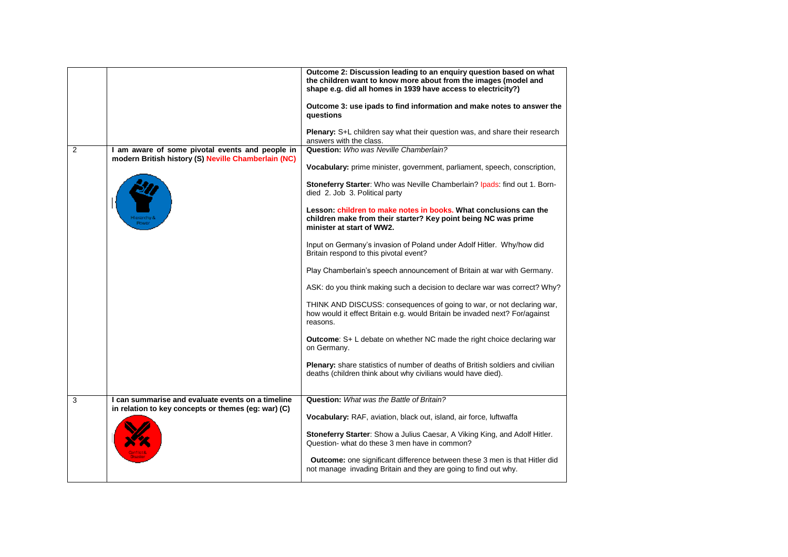|                |                                                                                                          | Outcome 2: Discussion leading to an enguiry question based on what<br>the children want to know more about from the images (model and<br>shape e.g. did all homes in 1939 have access to electricity?)<br>Outcome 3: use ipads to find information and make notes to answer the<br>questions<br>Plenary: S+L children say what their question was, and share their research<br>answers with the class.                                                                                                                                                                                                                                                                                                                                                                                                                                                                                                                                                                                                                                                                                                  |
|----------------|----------------------------------------------------------------------------------------------------------|---------------------------------------------------------------------------------------------------------------------------------------------------------------------------------------------------------------------------------------------------------------------------------------------------------------------------------------------------------------------------------------------------------------------------------------------------------------------------------------------------------------------------------------------------------------------------------------------------------------------------------------------------------------------------------------------------------------------------------------------------------------------------------------------------------------------------------------------------------------------------------------------------------------------------------------------------------------------------------------------------------------------------------------------------------------------------------------------------------|
| $\overline{2}$ | I am aware of some pivotal events and people in<br>modern British history (S) Neville Chamberlain (NC)   | Question: Who was Neville Chamberlain?<br>Vocabulary: prime minister, government, parliament, speech, conscription,<br>Stoneferry Starter: Who was Neville Chamberlain? Ipads: find out 1. Born-<br>died 2. Job 3. Political party<br>Lesson: children to make notes in books. What conclusions can the<br>children make from their starter? Key point being NC was prime<br>minister at start of WW2.<br>Input on Germany's invasion of Poland under Adolf Hitler. Why/how did<br>Britain respond to this pivotal event?<br>Play Chamberlain's speech announcement of Britain at war with Germany.<br>ASK: do you think making such a decision to declare war was correct? Why?<br>THINK AND DISCUSS: consequences of going to war, or not declaring war,<br>how would it effect Britain e.g. would Britain be invaded next? For/against<br>reasons.<br><b>Outcome:</b> S+ L debate on whether NC made the right choice declaring war<br>on Germany.<br>Plenary: share statistics of number of deaths of British soldiers and civilian<br>deaths (children think about why civilians would have died). |
| 3              | I can summarise and evaluate events on a timeline<br>in relation to key concepts or themes (eg: war) (C) | Question: What was the Battle of Britain?<br>Vocabulary: RAF, aviation, black out, island, air force, luftwaffa<br>Stoneferry Starter: Show a Julius Caesar, A Viking King, and Adolf Hitler.<br>Question- what do these 3 men have in common?<br><b>Outcome:</b> one significant difference between these 3 men is that Hitler did<br>not manage invading Britain and they are going to find out why.                                                                                                                                                                                                                                                                                                                                                                                                                                                                                                                                                                                                                                                                                                  |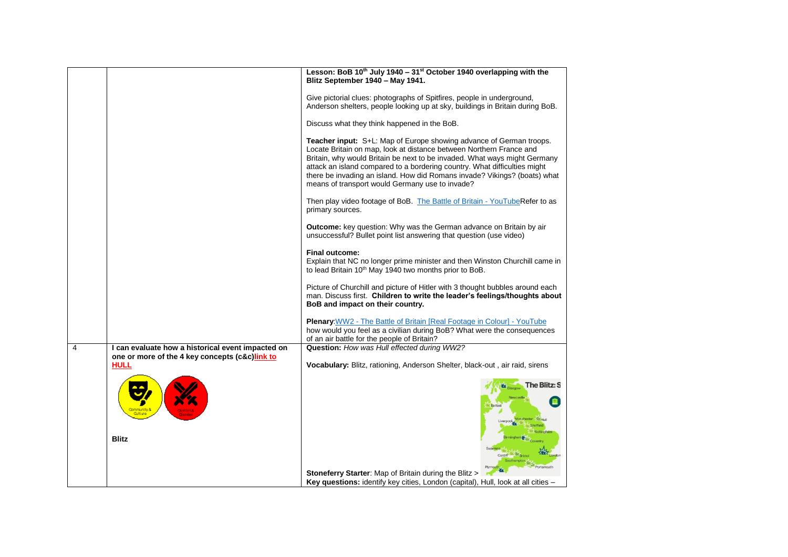|   |                                                                                                                    | Lesson: BoB 10 <sup>th</sup> July 1940 - 31 <sup>st</sup> October 1940 overlapping with the<br>Blitz September 1940 - May 1941.                                                                                                                                                                                                                                                                                                      |
|---|--------------------------------------------------------------------------------------------------------------------|--------------------------------------------------------------------------------------------------------------------------------------------------------------------------------------------------------------------------------------------------------------------------------------------------------------------------------------------------------------------------------------------------------------------------------------|
|   |                                                                                                                    | Give pictorial clues: photographs of Spitfires, people in underground,<br>Anderson shelters, people looking up at sky, buildings in Britain during BoB.                                                                                                                                                                                                                                                                              |
|   |                                                                                                                    | Discuss what they think happened in the BoB.                                                                                                                                                                                                                                                                                                                                                                                         |
|   |                                                                                                                    | Teacher input: S+L: Map of Europe showing advance of German troops.<br>Locate Britain on map, look at distance between Northern France and<br>Britain, why would Britain be next to be invaded. What ways might Germany<br>attack an island compared to a bordering country. What difficulties might<br>there be invading an island. How did Romans invade? Vikings? (boats) what<br>means of transport would Germany use to invade? |
|   |                                                                                                                    | Then play video footage of BoB. The Battle of Britain - YouTubeRefer to as<br>primary sources.                                                                                                                                                                                                                                                                                                                                       |
|   |                                                                                                                    | <b>Outcome:</b> key question: Why was the German advance on Britain by air<br>unsuccessful? Bullet point list answering that question (use video)                                                                                                                                                                                                                                                                                    |
|   |                                                                                                                    | <b>Final outcome:</b><br>Explain that NC no longer prime minister and then Winston Churchill came in<br>to lead Britain 10 <sup>th</sup> May 1940 two months prior to BoB.                                                                                                                                                                                                                                                           |
|   |                                                                                                                    | Picture of Churchill and picture of Hitler with 3 thought bubbles around each<br>man. Discuss first. Children to write the leader's feelings/thoughts about<br>BoB and impact on their country.                                                                                                                                                                                                                                      |
|   |                                                                                                                    | Plenary: WW2 - The Battle of Britain [Real Footage in Colour] - YouTube<br>how would you feel as a civilian during BoB? What were the consequences<br>of an air battle for the people of Britain?                                                                                                                                                                                                                                    |
| 4 | I can evaluate how a historical event impacted on<br>one or more of the 4 key concepts (c&c)link to<br><b>HULL</b> | Question: How was Hull effected during WW2?                                                                                                                                                                                                                                                                                                                                                                                          |
|   |                                                                                                                    | Vocabulary: Blitz, rationing, Anderson Shelter, black-out, air raid, sirens                                                                                                                                                                                                                                                                                                                                                          |
|   | <b>Blitz</b>                                                                                                       | <b>The Blitz: S</b>                                                                                                                                                                                                                                                                                                                                                                                                                  |
|   |                                                                                                                    | <b>Bristol</b><br>Southampton                                                                                                                                                                                                                                                                                                                                                                                                        |
|   |                                                                                                                    | huomatho <sup>l</sup><br>Stoneferry Starter: Map of Britain during the Blitz ><br>Key questions: identify key cities, London (capital), Hull, look at all cities -                                                                                                                                                                                                                                                                   |
|   |                                                                                                                    |                                                                                                                                                                                                                                                                                                                                                                                                                                      |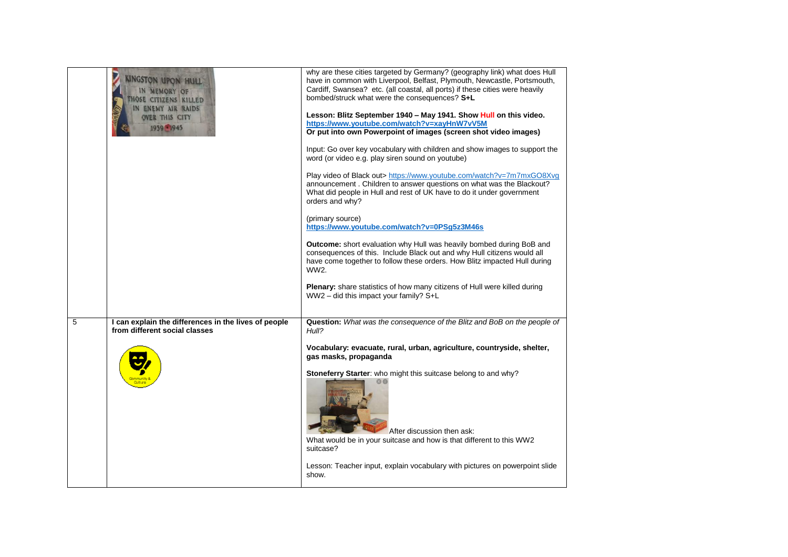|   | INGSTON UPON HULL<br>N MEMORY OF<br><b>OSE CITIZENS KILLED</b><br><b>ENEMY AIR RAIDS</b><br><b>OVER THIS CITY</b><br>1959 - 1945 | why are these cities targeted by Germany? (geography link) what does Hull<br>have in common with Liverpool, Belfast, Plymouth, Newcastle, Portsmouth,<br>Cardiff, Swansea? etc. (all coastal, all ports) if these cities were heavily<br>bombed/struck what were the consequences? S+L<br>Lesson: Blitz September 1940 - May 1941. Show Hull on this video.<br>https://www.youtube.com/watch?v=xayHnW7vV5M<br>Or put into own Powerpoint of images (screen shot video images)<br>Input: Go over key vocabulary with children and show images to support the<br>word (or video e.g. play siren sound on youtube)<br>Play video of Black out> https://www.youtube.com/watch?v=7m7mxGO8Xvg<br>announcement. Children to answer questions on what was the Blackout?<br>What did people in Hull and rest of UK have to do it under government<br>orders and why?<br>(primary source)<br>https://www.youtube.com/watch?v=0PSg5z3M46s<br><b>Outcome:</b> short evaluation why Hull was heavily bombed during BoB and<br>consequences of this. Include Black out and why Hull citizens would all<br>have come together to follow these orders. How Blitz impacted Hull during<br>WW2.<br><b>Plenary:</b> share statistics of how many citizens of Hull were killed during<br>WW2 - did this impact your family? S+L |
|---|----------------------------------------------------------------------------------------------------------------------------------|-------------------------------------------------------------------------------------------------------------------------------------------------------------------------------------------------------------------------------------------------------------------------------------------------------------------------------------------------------------------------------------------------------------------------------------------------------------------------------------------------------------------------------------------------------------------------------------------------------------------------------------------------------------------------------------------------------------------------------------------------------------------------------------------------------------------------------------------------------------------------------------------------------------------------------------------------------------------------------------------------------------------------------------------------------------------------------------------------------------------------------------------------------------------------------------------------------------------------------------------------------------------------------------------------------------|
| 5 | I can explain the differences in the lives of people<br>from different social classes                                            | Question: What was the consequence of the Blitz and BoB on the people of<br>Hull?                                                                                                                                                                                                                                                                                                                                                                                                                                                                                                                                                                                                                                                                                                                                                                                                                                                                                                                                                                                                                                                                                                                                                                                                                           |
|   |                                                                                                                                  | Vocabulary: evacuate, rural, urban, agriculture, countryside, shelter,<br>gas masks, propaganda<br>Stoneferry Starter: who might this suitcase belong to and why?<br>After discussion then ask:<br>What would be in your suitcase and how is that different to this WW2<br>suitcase?<br>Lesson: Teacher input, explain vocabulary with pictures on powerpoint slide<br>show.                                                                                                                                                                                                                                                                                                                                                                                                                                                                                                                                                                                                                                                                                                                                                                                                                                                                                                                                |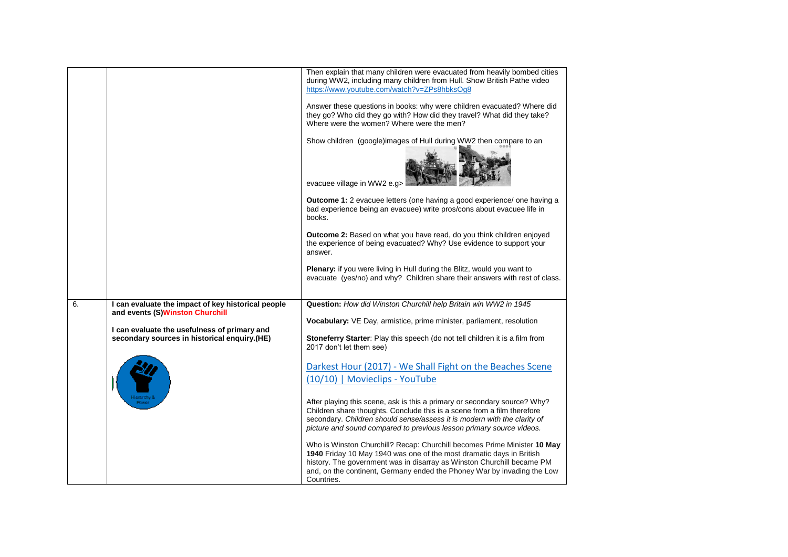|    |                                                                                                                                                                                       | Then explain that many children were evacuated from heavily bombed cities<br>during WW2, including many children from Hull. Show British Pathe video<br>https://www.youtube.com/watch?v=ZPs8hbksOq8<br>Answer these questions in books: why were children evacuated? Where did<br>they go? Who did they go with? How did they travel? What did they take?<br>Where were the women? Where were the men?<br>Show children (google)images of Hull during WW2 then compare to an<br>evacuee village in WW2 e.g><br><b>Outcome 1:</b> 2 evacuee letters (one having a good experience/ one having a<br>bad experience being an evacuee) write pros/cons about evacuee life in<br>books.<br><b>Outcome 2:</b> Based on what you have read, do you think children enjoyed<br>the experience of being evacuated? Why? Use evidence to support your<br>answer.<br><b>Plenary:</b> if you were living in Hull during the Blitz, would you want to<br>evacuate (yes/no) and why? Children share their answers with rest of class. |
|----|---------------------------------------------------------------------------------------------------------------------------------------------------------------------------------------|------------------------------------------------------------------------------------------------------------------------------------------------------------------------------------------------------------------------------------------------------------------------------------------------------------------------------------------------------------------------------------------------------------------------------------------------------------------------------------------------------------------------------------------------------------------------------------------------------------------------------------------------------------------------------------------------------------------------------------------------------------------------------------------------------------------------------------------------------------------------------------------------------------------------------------------------------------------------------------------------------------------------|
| 6. | I can evaluate the impact of key historical people<br>and events (S)Winston Churchill<br>I can evaluate the usefulness of primary and<br>secondary sources in historical enquiry.(HE) | Question: How did Winston Churchill help Britain win WW2 in 1945<br>Vocabulary: VE Day, armistice, prime minister, parliament, resolution<br>Stoneferry Starter: Play this speech (do not tell children it is a film from<br>2017 don't let them see)<br>Darkest Hour (2017) - We Shall Fight on the Beaches Scene<br>(10/10)   Movieclips - YouTube<br>After playing this scene, ask is this a primary or secondary source? Why?<br>Children share thoughts. Conclude this is a scene from a film therefore<br>secondary. Children should sense/assess it is modern with the clarity of<br>picture and sound compared to previous lesson primary source videos.<br>Who is Winston Churchill? Recap: Churchill becomes Prime Minister 10 May<br>1940 Friday 10 May 1940 was one of the most dramatic days in British<br>history. The government was in disarray as Winston Churchill became PM<br>and, on the continent, Germany ended the Phoney War by invading the Low<br>Countries.                                |